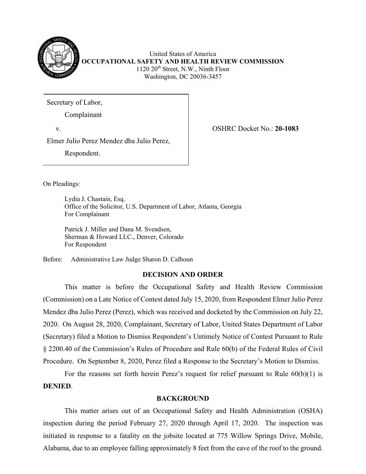

United States of America **OCCUPATIONAL SAFETY AND HEALTH REVIEW COMMISSION** 1120 20<sup>th</sup> Street, N.W., Ninth Floor Washington, DC 20036-3457

Secretary of Labor,

Complainant

v. OSHRC Docket No.: **20-1083**

Elmer Julio Perez Mendez dba Julio Perez,

Respondent.

On Pleadings:

Lydia J. Chastain, Esq. Office of the Solicitor, U.S. Department of Labor, Atlanta, Georgia For Complainant

Patrick J. Miller and Dana M. Svendsen, Sherman & Howard LLC., Denver, Colorado For Respondent

Before: Administrative Law Judge Sharon D. Calhoun

# **DECISION AND ORDER**

This matter is before the Occupational Safety and Health Review Commission (Commission) on a Late Notice of Contest dated July 15, 2020, from Respondent Elmer Julio Perez Mendez dba Julio Perez (Perez), which was received and docketed by the Commission on July 22, 2020. On August 28, 2020, Complainant, Secretary of Labor, United States Department of Labor (Secretary) filed a Motion to Dismiss Respondent's Untimely Notice of Contest Pursuant to Rule § 2200.40 of the Commission's Rules of Procedure and Rule 60(b) of the Federal Rules of Civil Procedure. On September 8, 2020, Perez filed a Response to the Secretary's Motion to Dismiss.

For the reasons set forth herein Perez's request for relief pursuant to Rule  $60(b)(1)$  is **DENIED**.

## **BACKGROUND**

This matter arises out of an Occupational Safety and Health Administration (OSHA) inspection during the period February 27, 2020 through April 17, 2020. The inspection was initiated in response to a fatality on the jobsite located at 775 Willow Springs Drive, Mobile, Alabama, due to an employee falling approximately 8 feet from the eave of the roof to the ground.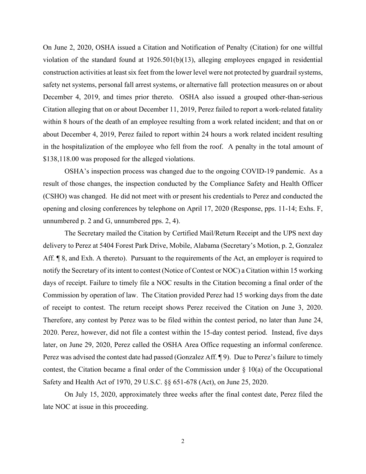On June 2, 2020, OSHA issued a Citation and Notification of Penalty (Citation) for one willful violation of the standard found at 1926.501(b)(13), alleging employees engaged in residential construction activities at least six feet from the lower level were not protected by guardrail systems, safety net systems, personal fall arrest systems, or alternative fall protection measures on or about December 4, 2019, and times prior thereto. OSHA also issued a grouped other-than-serious Citation alleging that on or about December 11, 2019, Perez failed to report a work-related fatality within 8 hours of the death of an employee resulting from a work related incident; and that on or about December 4, 2019, Perez failed to report within 24 hours a work related incident resulting in the hospitalization of the employee who fell from the roof. A penalty in the total amount of \$138,118.00 was proposed for the alleged violations.

OSHA's inspection process was changed due to the ongoing COVID-19 pandemic. As a result of those changes, the inspection conducted by the Compliance Safety and Health Officer (CSHO) was changed. He did not meet with or present his credentials to Perez and conducted the opening and closing conferences by telephone on April 17, 2020 (Response, pps. 11-14; Exhs. F, unnumbered p. 2 and G, unnumbered pps. 2, 4).

The Secretary mailed the Citation by Certified Mail/Return Receipt and the UPS next day delivery to Perez at 5404 Forest Park Drive, Mobile, Alabama (Secretary's Motion, p. 2, Gonzalez Aff. <sup>¶</sup> 8, and Exh. A thereto). Pursuant to the requirements of the Act, an employer is required to notify the Secretary of its intent to contest (Notice of Contest or NOC) a Citation within 15 working days of receipt. Failure to timely file a NOC results in the Citation becoming a final order of the Commission by operation of law. The Citation provided Perez had 15 working days from the date of receipt to contest. The return receipt shows Perez received the Citation on June 3, 2020. Therefore, any contest by Perez was to be filed within the contest period, no later than June 24, 2020. Perez, however, did not file a contest within the 15-day contest period. Instead, five days later, on June 29, 2020, Perez called the OSHA Area Office requesting an informal conference. Perez was advised the contest date had passed (Gonzalez Aff. ¶ 9). Due to Perez's failure to timely contest, the Citation became a final order of the Commission under  $\S$  10(a) of the Occupational Safety and Health Act of 1970, 29 U.S.C. §§ 651-678 (Act), on June 25, 2020.

On July 15, 2020, approximately three weeks after the final contest date, Perez filed the late NOC at issue in this proceeding.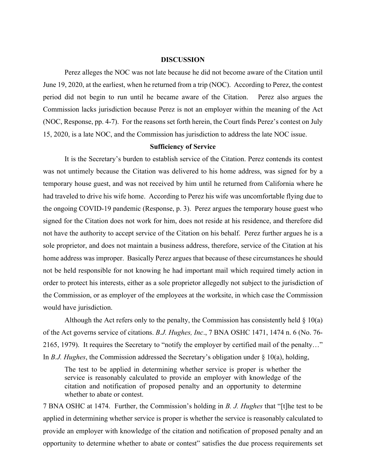#### **DISCUSSION**

Perez alleges the NOC was not late because he did not become aware of the Citation until June 19, 2020, at the earliest, when he returned from a trip (NOC). According to Perez, the contest period did not begin to run until he became aware of the Citation. Perez also argues the Commission lacks jurisdiction because Perez is not an employer within the meaning of the Act (NOC, Response, pp. 4-7). For the reasons set forth herein, the Court finds Perez's contest on July 15, 2020, is a late NOC, and the Commission has jurisdiction to address the late NOC issue.

#### **Sufficiency of Service**

It is the Secretary's burden to establish service of the Citation. Perez contends its contest was not untimely because the Citation was delivered to his home address, was signed for by a temporary house guest, and was not received by him until he returned from California where he had traveled to drive his wife home. According to Perez his wife was uncomfortable flying due to the ongoing COVID-19 pandemic (Response, p. 3). Perez argues the temporary house guest who signed for the Citation does not work for him, does not reside at his residence, and therefore did not have the authority to accept service of the Citation on his behalf. Perez further argues he is a sole proprietor, and does not maintain a business address, therefore, service of the Citation at his home address was improper. Basically Perez argues that because of these circumstances he should not be held responsible for not knowing he had important mail which required timely action in order to protect his interests, either as a sole proprietor allegedly not subject to the jurisdiction of the Commission, or as employer of the employees at the worksite, in which case the Commission would have jurisdiction.

Although the Act refers only to the penalty, the Commission has consistently held  $\S$  10(a) of the Act governs service of citations. *B.J. Hughes, Inc*., 7 BNA OSHC 1471, 1474 n. 6 (No. 76- 2165, 1979). It requires the Secretary to "notify the employer by certified mail of the penalty…" In *B.J. Hughes*, the Commission addressed the Secretary's obligation under § 10(a), holding,

The test to be applied in determining whether service is proper is whether the service is reasonably calculated to provide an employer with knowledge of the citation and notification of proposed penalty and an opportunity to determine whether to abate or contest.

7 BNA OSHC at 1474. Further, the Commission's holding in *B. J. Hughes* that "[t]he test to be applied in determining whether service is proper is whether the service is reasonably calculated to provide an employer with knowledge of the citation and notification of proposed penalty and an opportunity to determine whether to abate or contest" satisfies the due process requirements set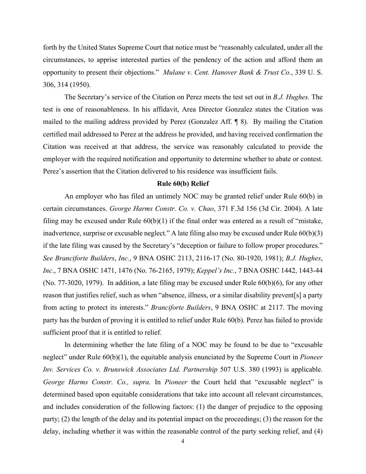forth by the United States Supreme Court that notice must be "reasonably calculated, under all the circumstances, to apprise interested parties of the pendency of the action and afford them an opportunity to present their objections." *Mulane v. Cent. Hanover Bank & Trust Co.*, 339 U. S. 306, 314 (1950).

 The Secretary's service of the Citation on Perez meets the test set out in *B.J. Hughes.* The test is one of reasonableness. In his affidavit, Area Director Gonzalez states the Citation was mailed to the mailing address provided by Perez (Gonzalez Aff. ¶ 8). By mailing the Citation certified mail addressed to Perez at the address he provided, and having received confirmation the Citation was received at that address, the service was reasonably calculated to provide the employer with the required notification and opportunity to determine whether to abate or contest. Perez's assertion that the Citation delivered to his residence was insufficient fails.

#### **Rule 60(b) Relief**

An employer who has filed an untimely NOC may be granted relief under Rule 60(b) in certain circumstances. *George Harms Constr. Co. v. Chao*, 371 F.3d 156 (3d Cir. 2004). A late filing may be excused under Rule 60(b)(1) if the final order was entered as a result of "mistake, inadvertence, surprise or excusable neglect." A late filing also may be excused under Rule 60(b)(3) if the late filing was caused by the Secretary's "deception or failure to follow proper procedures." *See Branciforte Builders*, *Inc.*, 9 BNA OSHC 2113, 2116-17 (No. 80-1920, 1981); *B.J. Hughes*, *Inc*., 7 BNA OSHC 1471, 1476 (No. 76-2165, 1979); *Keppel's Inc.*, 7 BNA OSHC 1442, 1443-44 (No. 77-3020, 1979). In addition, a late filing may be excused under Rule 60(b)(6), for any other reason that justifies relief, such as when "absence, illness, or a similar disability prevent[s] a party from acting to protect its interests." *Branciforte Builders*, 9 BNA OSHC at 2117. The moving party has the burden of proving it is entitled to relief under Rule 60(b). Perez has failed to provide sufficient proof that it is entitled to relief.

In determining whether the late filing of a NOC may be found to be due to "excusable neglect" under Rule 60(b)(1), the equitable analysis enunciated by the Supreme Court in *Pioneer Inv. Services Co. v. Brunswick Associates Ltd. Partnership* 507 U.S. 380 (1993) is applicable. *George Harms Constr. Co., supra.* In *Pioneer* the Court held that "excusable neglect" is determined based upon equitable considerations that take into account all relevant circumstances, and includes consideration of the following factors: (1) the danger of prejudice to the opposing party; (2) the length of the delay and its potential impact on the proceedings; (3) the reason for the delay, including whether it was within the reasonable control of the party seeking relief, and (4)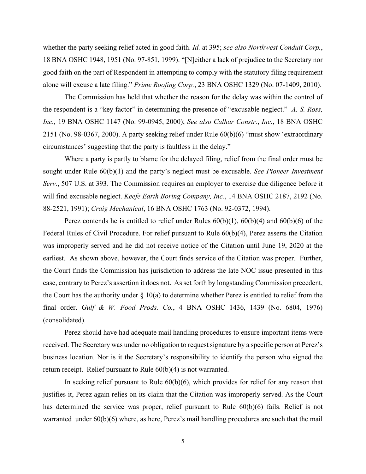whether the party seeking relief acted in good faith. *Id.* at 395; *see also Northwest Conduit Corp.*, 18 BNA OSHC 1948, 1951 (No. 97-851, 1999). "[N]either a lack of prejudice to the Secretary nor good faith on the part of Respondent in attempting to comply with the statutory filing requirement alone will excuse a late filing." *Prime Roofing Corp.*, 23 BNA OSHC 1329 (No. 07-1409, 2010).

The Commission has held that whether the reason for the delay was within the control of the respondent is a "key factor" in determining the presence of "excusable neglect." *A. S. Ross, Inc.,* 19 BNA OSHC 1147 (No. 99-0945, 2000); *See also Calhar Constr.*, *Inc*., 18 BNA OSHC 2151 (No. 98-0367, 2000). A party seeking relief under Rule 60(b)(6) "must show 'extraordinary circumstances' suggesting that the party is faultless in the delay."

Where a party is partly to blame for the delayed filing, relief from the final order must be sought under Rule 60(b)(1) and the party's neglect must be excusable. *See Pioneer Investment Serv.*, 507 U.S. at 393*.* The Commission requires an employer to exercise due diligence before it will find excusable neglect. *Keefe Earth Boring Company, Inc.*, 14 BNA OSHC 2187, 2192 (No. 88-2521, 1991); *Craig Mechanical*, 16 BNA OSHC 1763 (No. 92-0372, 1994).

Perez contends he is entitled to relief under Rules  $60(b)(1)$ ,  $60(b)(4)$  and  $60(b)(6)$  of the Federal Rules of Civil Procedure. For relief pursuant to Rule 60(b)(4), Perez asserts the Citation was improperly served and he did not receive notice of the Citation until June 19, 2020 at the earliest. As shown above, however, the Court finds service of the Citation was proper. Further, the Court finds the Commission has jurisdiction to address the late NOC issue presented in this case, contrary to Perez's assertion it does not. As set forth by longstanding Commission precedent, the Court has the authority under  $\S 10(a)$  to determine whether Perez is entitled to relief from the final order. *Gulf & W. Food Prods. Co.*, 4 BNA OSHC 1436, 1439 (No. 6804, 1976) (consolidated).

Perez should have had adequate mail handling procedures to ensure important items were received. The Secretary was under no obligation to request signature by a specific person at Perez's business location. Nor is it the Secretary's responsibility to identify the person who signed the return receipt. Relief pursuant to Rule 60(b)(4) is not warranted.

In seeking relief pursuant to Rule 60(b)(6), which provides for relief for any reason that justifies it, Perez again relies on its claim that the Citation was improperly served. As the Court has determined the service was proper, relief pursuant to Rule 60(b)(6) fails. Relief is not warranted under 60(b)(6) where, as here, Perez's mail handling procedures are such that the mail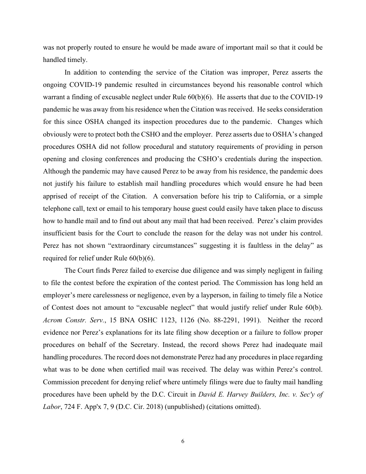was not properly routed to ensure he would be made aware of important mail so that it could be handled timely.

In addition to contending the service of the Citation was improper, Perez asserts the ongoing COVID-19 pandemic resulted in circumstances beyond his reasonable control which warrant a finding of excusable neglect under Rule 60(b)(6). He asserts that due to the COVID-19 pandemic he was away from his residence when the Citation was received. He seeks consideration for this since OSHA changed its inspection procedures due to the pandemic. Changes which obviously were to protect both the CSHO and the employer. Perez asserts due to OSHA's changed procedures OSHA did not follow procedural and statutory requirements of providing in person opening and closing conferences and producing the CSHO's credentials during the inspection. Although the pandemic may have caused Perez to be away from his residence, the pandemic does not justify his failure to establish mail handling procedures which would ensure he had been apprised of receipt of the Citation. A conversation before his trip to California, or a simple telephone call, text or email to his temporary house guest could easily have taken place to discuss how to handle mail and to find out about any mail that had been received. Perez's claim provides insufficient basis for the Court to conclude the reason for the delay was not under his control. Perez has not shown "extraordinary circumstances" suggesting it is faultless in the delay" as required for relief under Rule 60(b)(6).

The Court finds Perez failed to exercise due diligence and was simply negligent in failing to file the contest before the expiration of the contest period. The Commission has long held an employer's mere carelessness or negligence, even by a layperson, in failing to timely file a Notice of Contest does not amount to "excusable neglect" that would justify relief under Rule 60(b). *Acrom Constr. Serv.*, 15 BNA OSHC 1123, 1126 (No. 88-2291, 1991). Neither the record evidence nor Perez's explanations for its late filing show deception or a failure to follow proper procedures on behalf of the Secretary. Instead, the record shows Perez had inadequate mail handling procedures. The record does not demonstrate Perez had any procedures in place regarding what was to be done when certified mail was received. The delay was within Perez's control. Commission precedent for denying relief where untimely filings were due to faulty mail handling procedures have been upheld by the D.C. Circuit in *David E. Harvey Builders, Inc. v. Sec'y of Labor*, 724 F. App'x 7, 9 (D.C. Cir. 2018) (unpublished) (citations omitted).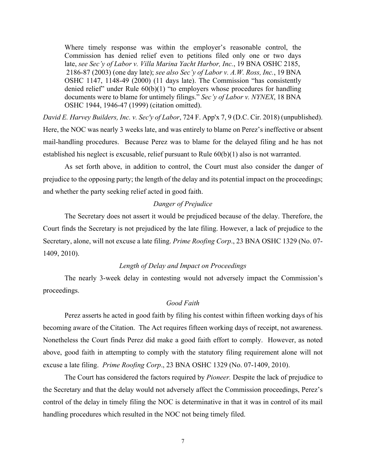Where timely response was within the employer's reasonable control, the Commission has denied relief even to petitions filed only one or two days late, *see Sec'y of Labor v. Villa Marina Yacht Harbor, Inc.*, 19 BNA OSHC 2185, 2186-87 (2003) (one day late); *see also Sec'y of Labor v. A.W. Ross, Inc.*, 19 BNA OSHC 1147, 1148-49 (2000) (11 days late). The Commission "has consistently denied relief" under Rule 60(b)(1) "to employers whose procedures for handling documents were to blame for untimely filings." *Sec'y of Labor v. NYNEX*, 18 BNA OSHC 1944, 1946-47 (1999) (citation omitted).

*David E. Harvey Builders, Inc. v. Sec'y of Labor*, 724 F. App'x 7, 9 (D.C. Cir. 2018) (unpublished). Here, the NOC was nearly 3 weeks late, and was entirely to blame on Perez's ineffective or absent mail-handling procedures. Because Perez was to blame for the delayed filing and he has not established his neglect is excusable, relief pursuant to Rule  $60(b)(1)$  also is not warranted.

As set forth above, in addition to control, the Court must also consider the danger of prejudice to the opposing party; the length of the delay and its potential impact on the proceedings; and whether the party seeking relief acted in good faith.

## *Danger of Prejudice*

The Secretary does not assert it would be prejudiced because of the delay. Therefore, the Court finds the Secretary is not prejudiced by the late filing. However, a lack of prejudice to the Secretary, alone, will not excuse a late filing. *Prime Roofing Corp*., 23 BNA OSHC 1329 (No. 07- 1409, 2010).

#### *Length of Delay and Impact on Proceedings*

The nearly 3-week delay in contesting would not adversely impact the Commission's proceedings.

## *Good Faith*

Perez asserts he acted in good faith by filing his contest within fifteen working days of his becoming aware of the Citation. The Act requires fifteen working days of receipt, not awareness. Nonetheless the Court finds Perez did make a good faith effort to comply. However, as noted above, good faith in attempting to comply with the statutory filing requirement alone will not excuse a late filing. *Prime Roofing Corp*., 23 BNA OSHC 1329 (No. 07-1409, 2010).

The Court has considered the factors required by *Pioneer.* Despite the lack of prejudice to the Secretary and that the delay would not adversely affect the Commission proceedings, Perez's control of the delay in timely filing the NOC is determinative in that it was in control of its mail handling procedures which resulted in the NOC not being timely filed.